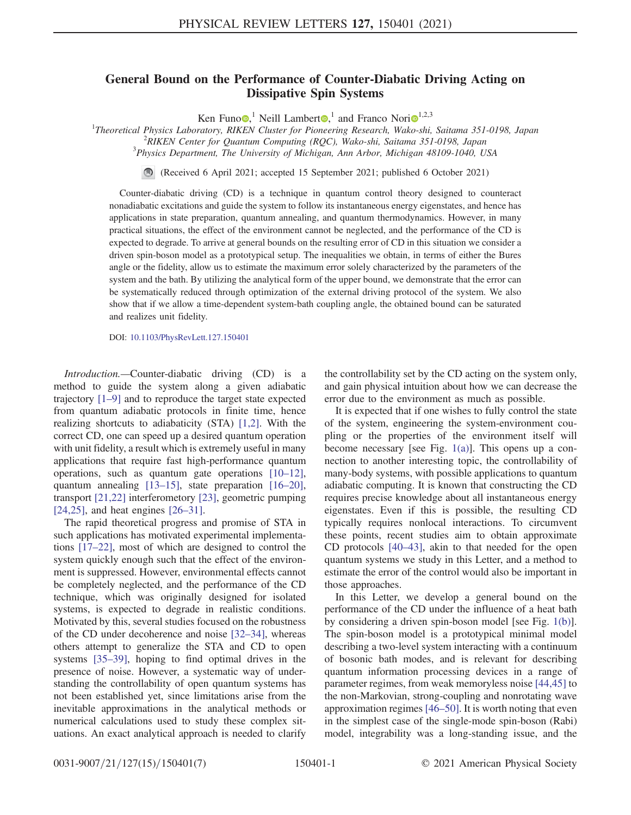## General Bound on the Performance of Counter-Diabatic Driving Acting on Dissipative Spin Systems

Ken Funo  $\mathbf{Q}$ , Neill Lambert  $\mathbf{Q}$ , and Franco Nori $\mathbf{Q}^{1,2,3}$  $\mathbf{Q}^{1,2,3}$  $\mathbf{Q}^{1,2,3}$ 

<sup>1</sup>Theoretical Physics Laboratory, RIKEN Cluster for Pioneering Research, Wako-shi, Saitama 351-0198, Japan <sup>2</sup>PIKEN Center for Quantum Computing (POC), Wako shi, Saitama 351-0108, Japan

<sup>2</sup>RIKEN Center for Quantum Computing (RQC), Wako-shi, Saitama 351-0198, Japan

 $3$ Physics Department, The University of Michigan, Ann Arbor, Michigan 48109-1040, USA

(Received 6 April 2021; accepted 15 September 2021; published 6 October 2021)

Counter-diabatic driving (CD) is a technique in quantum control theory designed to counteract nonadiabatic excitations and guide the system to follow its instantaneous energy eigenstates, and hence has applications in state preparation, quantum annealing, and quantum thermodynamics. However, in many practical situations, the effect of the environment cannot be neglected, and the performance of the CD is expected to degrade. To arrive at general bounds on the resulting error of CD in this situation we consider a driven spin-boson model as a prototypical setup. The inequalities we obtain, in terms of either the Bures angle or the fidelity, allow us to estimate the maximum error solely characterized by the parameters of the system and the bath. By utilizing the analytical form of the upper bound, we demonstrate that the error can be systematically reduced through optimization of the external driving protocol of the system. We also show that if we allow a time-dependent system-bath coupling angle, the obtained bound can be saturated and realizes unit fidelity.

DOI: [10.1103/PhysRevLett.127.150401](https://doi.org/10.1103/PhysRevLett.127.150401)

Introduction.—Counter-diabatic driving (CD) is a method to guide the system along a given adiabatic trajectory [\[1](#page-4-0)–[9\]](#page-4-1) and to reproduce the target state expected from quantum adiabatic protocols in finite time, hence realizing shortcuts to adiabaticity (STA) [\[1](#page-4-0)[,2](#page-4-2)]. With the correct CD, one can speed up a desired quantum operation with unit fidelity, a result which is extremely useful in many applications that require fast high-performance quantum operations, such as quantum gate operations [[10](#page-4-3)–[12](#page-4-4)], quantum annealing [[13](#page-4-5)–[15\]](#page-4-6), state preparation [[16](#page-4-7)–[20](#page-5-0)], transport [\[21,](#page-5-1)[22\]](#page-5-2) interferometory [\[23\]](#page-5-3), geometric pumping [\[24](#page-5-4)[,25\]](#page-5-5), and heat engines [\[26](#page-5-6)–[31](#page-5-7)].

The rapid theoretical progress and promise of STA in such applications has motivated experimental implementations [[17](#page-4-8)–[22\]](#page-5-2), most of which are designed to control the system quickly enough such that the effect of the environment is suppressed. However, environmental effects cannot be completely neglected, and the performance of the CD technique, which was originally designed for isolated systems, is expected to degrade in realistic conditions. Motivated by this, several studies focused on the robustness of the CD under decoherence and noise [[32](#page-5-8)–[34\]](#page-5-9), whereas others attempt to generalize the STA and CD to open systems [[35](#page-5-10)–[39](#page-5-11)], hoping to find optimal drives in the presence of noise. However, a systematic way of understanding the controllability of open quantum systems has not been established yet, since limitations arise from the inevitable approximations in the analytical methods or numerical calculations used to study these complex situations. An exact analytical approach is needed to clarify

the controllability set by the CD acting on the system only, and gain physical intuition about how we can decrease the error due to the environment as much as possible.

It is expected that if one wishes to fully control the state of the system, engineering the system-environment coupling or the properties of the environment itself will become necessary [see Fig.  $1(a)$ ]. This opens up a connection to another interesting topic, the controllability of many-body systems, with possible applications to quantum adiabatic computing. It is known that constructing the CD requires precise knowledge about all instantaneous energy eigenstates. Even if this is possible, the resulting CD typically requires nonlocal interactions. To circumvent these points, recent studies aim to obtain approximate CD protocols [[40](#page-5-12)–[43\]](#page-5-13), akin to that needed for the open quantum systems we study in this Letter, and a method to estimate the error of the control would also be important in those approaches.

In this Letter, we develop a general bound on the performance of the CD under the influence of a heat bath by considering a driven spin-boson model [see Fig. [1\(b\)\]](#page-1-0). The spin-boson model is a prototypical minimal model describing a two-level system interacting with a continuum of bosonic bath modes, and is relevant for describing quantum information processing devices in a range of parameter regimes, from weak memoryless noise [[44](#page-5-14),[45](#page-5-15)] to the non-Markovian, strong-coupling and nonrotating wave approximation regimes [[46](#page-5-16)–[50](#page-5-17)]. It is worth noting that even in the simplest case of the single-mode spin-boson (Rabi) model, integrability was a long-standing issue, and the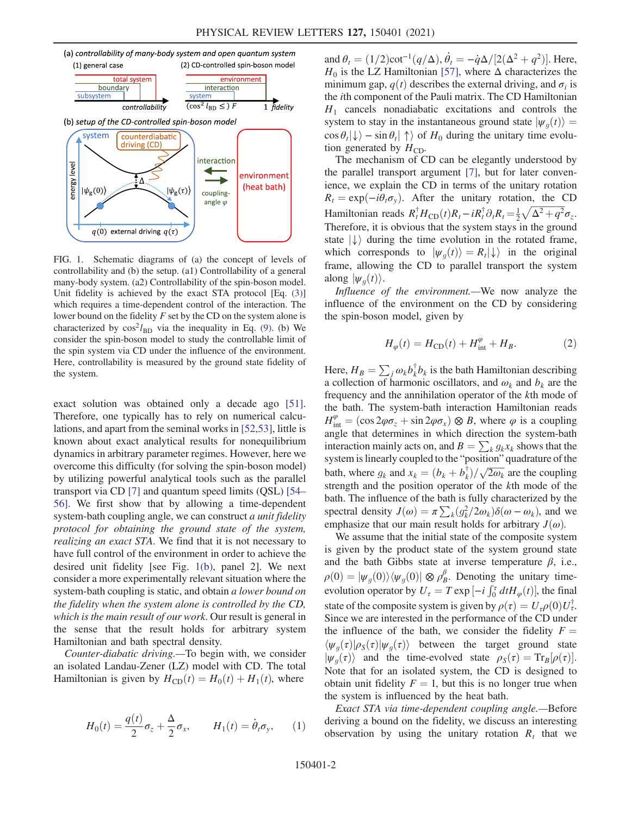<span id="page-1-0"></span>

FIG. 1. Schematic diagrams of (a) the concept of levels of controllability and (b) the setup. (a1) Controllability of a general many-body system. (a2) Controllability of the spin-boson model. Unit fidelity is achieved by the exact STA protocol [Eq. [\(3\)\]](#page-2-0) which requires a time-dependent control of the interaction. The lower bound on the fidelity  $F$  set by the CD on the system alone is characterized by  $\cos^2 l_{BD}$  via the inequality in Eq. [\(9\).](#page-3-0) (b) We consider the spin-boson model to study the controllable limit of the spin system via CD under the influence of the environment. Here, controllability is measured by the ground state fidelity of the system.

exact solution was obtained only a decade ago [[51](#page-5-18)]. Therefore, one typically has to rely on numerical calculations, and apart from the seminal works in [\[52](#page-5-19)[,53\]](#page-5-20), little is known about exact analytical results for nonequilibrium dynamics in arbitrary parameter regimes. However, here we overcome this difficulty (for solving the spin-boson model) by utilizing powerful analytical tools such as the parallel transport via CD [[7\]](#page-4-9) and quantum speed limits (QSL) [\[54](#page-5-21)– [56\]](#page-6-0). We first show that by allowing a time-dependent system-bath coupling angle, we can construct *a unit fidelity* protocol for obtaining the ground state of the system, realizing an exact STA. We find that it is not necessary to have full control of the environment in order to achieve the desired unit fidelity [see Fig. [1\(b\),](#page-1-0) panel 2]. We next consider a more experimentally relevant situation where the system-bath coupling is static, and obtain a lower bound on the fidelity when the system alone is controlled by the CD, which is the main result of our work. Our result is general in the sense that the result holds for arbitrary system Hamiltonian and bath spectral density.

Counter-diabatic driving.—To begin with, we consider an isolated Landau-Zener (LZ) model with CD. The total Hamiltonian is given by  $H_{CD}(t) = H_0(t) + H_1(t)$ , where

$$
H_0(t) = \frac{q(t)}{2}\sigma_z + \frac{\Delta}{2}\sigma_x, \qquad H_1(t) = \dot{\theta}_t \sigma_y, \qquad (1)
$$

and  $\theta_t = (1/2)\cot^{-1}(q/\Delta), \dot{\theta}_t = -\dot{q}\Delta/[2(\Delta^2 + q^2)].$  Here,<br> $H_0$  is the LZ Hamiltonian [57], where  $\Delta$  characterizes the  $H_0$  is the LZ Hamiltonian [\[57\]](#page-6-1), where  $\Delta$  characterizes the minimum gap,  $q(t)$  describes the external driving, and  $\sigma_i$  is the ith component of the Pauli matrix. The CD Hamiltonian  $H_1$  cancels nonadiabatic excitations and controls the system to stay in the instantaneous ground state  $|\psi_a(t)\rangle =$  $\cos \theta_t |\downarrow\rangle - \sin \theta_t |\uparrow\rangle$  of  $H_0$  during the unitary time evolution generated by  $H_{CD}$ .

The mechanism of CD can be elegantly understood by the parallel transport argument [\[7](#page-4-9)], but for later convenience, we explain the CD in terms of the unitary rotation  $R_t = \exp(-i\theta_t \sigma_v)$ . After the unitary rotation, the CD Hamiltonian reads  $R_t^{\dagger}H_{CD}(t)R_t - iR_t^{\dagger}\partial_tR_t = \frac{1}{2}\sqrt{\Delta^2 + q^2}\sigma_z$ .<br>Therefore it is obvious that the system stays in the ground Therefore, it is obvious that the system stays in the ground state  $\ket{\downarrow}$  during the time evolution in the rotated frame, which corresponds to  $|\psi_q(t)\rangle = R_t |\downarrow\rangle$  in the original frame, allowing the CD to parallel transport the system along  $|\psi_a(t)\rangle$ .

<span id="page-1-1"></span>Influence of the environment.—We now analyze the influence of the environment on the CD by considering the spin-boson model, given by

$$
H_{\varphi}(t) = H_{\rm CD}(t) + H_{\rm int}^{\varphi} + H_{B}.
$$
 (2)

Here,  $H_B = \sum_j \omega_k b_k^{\dagger} b_k$  is the bath Hamiltonian describing<br>a collection of harmonic oscillators, and  $\omega_k$  and  $b_k$  are the a collection of harmonic oscillators, and  $\omega_k$  and  $b_k$  are the frequency and the annihilation operator of the kth mode of the bath. The system-bath interaction Hamiltonian reads  $H_{int}^{\varphi} = (\cos 2\varphi \sigma_z + \sin 2\varphi \sigma_x) \otimes B$ , where  $\varphi$  is a coupling<br>angle that determines in which direction the system-bath angle that determines in which direction the system-bath interaction mainly acts on, and  $B = \sum_k g_k x_k$  shows that the system is linearly coupled to the "position" quadrature of the bath, where  $g_k$  and  $x_k = (b_k + b_k^{\dagger})/\sqrt{2\omega_k}$  are the coupling<br>strength and the position operator of the *k*th mode of the strength and the position operator of the kth mode of the bath. The influence of the bath is fully characterized by the spectral density  $J(\omega) = \pi \sum_{k} (g_k^2/2\omega_k) \delta(\omega - \omega_k)$ , and we<br>emphasize that our main result holds for arbitrary  $I(\omega)$ emphasize that our main result holds for arbitrary  $J(\omega)$ .

We assume that the initial state of the composite system is given by the product state of the system ground state and the bath Gibbs state at inverse temperature  $\beta$ , i.e.,  $\rho(0) = |\psi_g(0)\rangle \langle \psi_g(0)| \otimes \rho_B^{\beta}$ . Denoting the unitary time-<br>evolution operator by  $H = T \exp[-i \int_0^T dt H_{\alpha}(t)]$  the final evolution operator by  $U_{\tau} = T \exp \left[-i \int_0^{\tau} dt H_{\varphi}(t)\right]$ , the final state of the composite system is given by  $\rho(\tau) = U_{\tau} \rho(0) U_{\tau}^{\dagger}$ .<br>Since we are interested in the performance of the CD under Since we are interested in the performance of the CD under the influence of the bath, we consider the fidelity  $F =$  $\langle \psi_q(\tau)|\rho_S(\tau)|\psi_q(\tau)\rangle$  between the target ground state  $|\psi_g(\tau)\rangle$  and the time-evolved state  $\rho_s(\tau) = Tr_B[\rho(\tau)].$ <br>Note that for an isolated system, the CD is designed to Note that for an isolated system, the CD is designed to obtain unit fidelity  $F = 1$ , but this is no longer true when the system is influenced by the heat bath.

Exact STA via time-dependent coupling angle.—Before deriving a bound on the fidelity, we discuss an interesting observation by using the unitary rotation  $R_t$  that we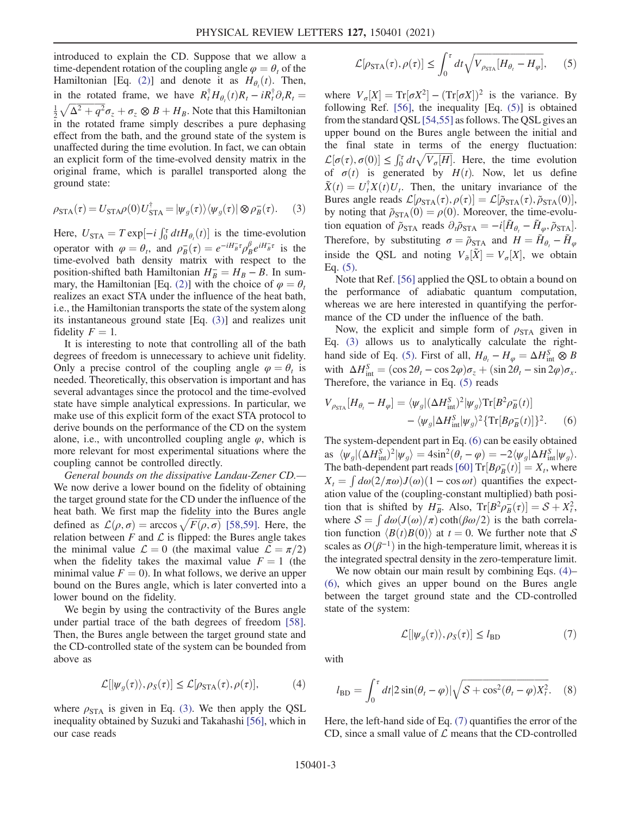introduced to explain the CD. Suppose that we allow a time-dependent rotation of the coupling angle  $\varphi = \theta_t$  of the Hamiltonian [Eq. [\(2\)](#page-1-1)] and denote it as  $H_{\theta_i}(t)$ . Then, in the rotated frame, we have  $R_t^{\dagger} H_{\theta_t}(t) R_t - i R_t^{\dagger} \partial_t R_t =$  $\frac{1}{2}\sqrt{\Delta^2+q^2}\sigma_z+\sigma_z\otimes B+H_B$ . Note that this Hamiltonian<br>in the rotated frame simply describes a pure dephasing in the rotated frame simply describes a pure dephasing effect from the bath, and the ground state of the system is unaffected during the time evolution. In fact, we can obtain an explicit form of the time-evolved density matrix in the original frame, which is parallel transported along the ground state:

<span id="page-2-0"></span>
$$
\rho_{\text{STA}}(\tau) = U_{\text{STA}} \rho(0) U_{\text{STA}}^{\dagger} = |\psi_g(\tau) \rangle \langle \psi_g(\tau) | \otimes \rho_B^-(\tau). \tag{3}
$$

Here,  $U_{\text{STA}} = T \exp[-i \int_0^{\tau} dt H_{\theta_t}(t)]$  is the time-evolution operator with  $\varphi = \theta_t$ , and  $\rho_B^-(\tau) = e^{-iH_B^T\tau} \rho_B^{\beta} e^{iH_B^T\tau}$  is the time-evolved bath density matrix with respect to the time-evolved bath density matrix with respect to the position-shifted bath Hamiltonian  $H_B^2 = H_B - B$ . In sum-<br>mary the Hamiltonian [Eq. (2)] with the choice of  $\omega = \theta$ . mary, the Hamiltonian [Eq. [\(2\)](#page-1-1)] with the choice of  $\varphi = \theta_t$ realizes an exact STA under the influence of the heat bath, i.e., the Hamiltonian transports the state of the system along its instantaneous ground state [Eq. [\(3\)\]](#page-2-0) and realizes unit fidelity  $F = 1$ .

It is interesting to note that controlling all of the bath degrees of freedom is unnecessary to achieve unit fidelity. Only a precise control of the coupling angle  $\varphi = \theta_t$  is needed. Theoretically, this observation is important and has several advantages since the protocol and the time-evolved state have simple analytical expressions. In particular, we make use of this explicit form of the exact STA protocol to derive bounds on the performance of the CD on the system alone, i.e., with uncontrolled coupling angle  $\varphi$ , which is more relevant for most experimental situations where the coupling cannot be controlled directly.

General bounds on the dissipative Landau-Zener CD.— We now derive a lower bound on the fidelity of obtaining the target ground state for the CD under the influence of the heat bath. We first map the fidelity into the Bures angle defined as  $\mathcal{L}(\rho, \sigma) = \arccos \sqrt{F(\rho, \sigma)}$  [[58](#page-6-2),[59](#page-6-3)]. Here, the relation between *F* and *f* is flinned; the Bures angle takes relation between  $F$  and  $\mathcal L$  is flipped: the Bures angle takes the minimal value  $\mathcal{L} = 0$  (the maximal value  $\mathcal{L} = \pi/2$ ) when the fidelity takes the maximal value  $F = 1$  (the minimal value  $F = 0$ ). In what follows, we derive an upper bound on the Bures angle, which is later converted into a lower bound on the fidelity.

<span id="page-2-3"></span>We begin by using the contractivity of the Bures angle under partial trace of the bath degrees of freedom [[58](#page-6-2)]. Then, the Bures angle between the target ground state and the CD-controlled state of the system can be bounded from above as

$$
\mathcal{L}[\vert \psi_g(\tau) \rangle, \rho_S(\tau)] \le \mathcal{L}[\rho_{\text{STA}}(\tau), \rho(\tau)], \tag{4}
$$

<span id="page-2-1"></span>where  $\rho_{\text{STA}}$  is given in Eq. [\(3\)](#page-2-0). We then apply the QSL inequality obtained by Suzuki and Takahashi [[56](#page-6-0)], which in our case reads

$$
\mathcal{L}[\rho_{\text{STA}}(\tau), \rho(\tau)] \le \int_0^{\tau} dt \sqrt{V_{\rho_{\text{STA}}}[H_{\theta_t} - H_{\varphi}]}, \qquad (5)
$$

where  $V_{\sigma}[X] = \text{Tr}[\sigma X^2] - (\text{Tr}[\sigma X])^2$  is the variance. By<br>following Ref. [56], the inequality [Eq. (5)] is obtained following Ref. [[56](#page-6-0)], the inequality [Eq. [\(5\)\]](#page-2-1) is obtained from the standard QSL [\[54,](#page-5-21)[55\]](#page-6-4) as follows. The QSL gives an upper bound on the Bures angle between the initial and the final state in terms of the energy fluctuation:  $\mathcal{L}[\sigma(\tau), \sigma(0)] \leq \int_0^{\tau} dt \sqrt{V_{\sigma}[H]}$ . Here, the time evolution of  $\sigma(t)$  is generated by  $H(t)$ . Now, let us define  $\tilde{X}(t) = U_t^{\dagger} X(t) U_t$ . Then, the unitary invariance of the<br>Bures angle reads  $\Gamma[a_{\text{cm}}(\tau), a(\tau)] - \Gamma[\tilde{a}_{\text{cm}}(\tau), \tilde{a}_{\text{cm}}(0)]$ Bures angle reads  $\mathcal{L}[\rho_{STA}(\tau), \rho(\tau)] = \mathcal{L}[\tilde{\rho}_{STA}(\tau), \tilde{\rho}_{STA}(0)],$ <br>by noting that  $\tilde{\rho}_{enn}(\theta) = \rho(0)$ . Moreover, the time-evoluby noting that  $\tilde{\rho}_{STA}(0) = \rho(0)$ . Moreover, the time-evolution equation of  $\tilde{\rho}_{\text{STA}}$  reads  $\partial_t \tilde{\rho}_{\text{STA}} = -i[\tilde{H}_{\theta_t} - \tilde{H}_{\varphi}, \tilde{\rho}_{\text{STA}}].$ <br>Therefore, by substituting  $\sigma = \tilde{\rho}_{\text{STA}}$  and  $H = \tilde{H}_{\text{Left}}$ Therefore, by substituting  $\sigma = \tilde{\rho}_{STA}$  and  $H = \tilde{H}_{\theta} - \tilde{H}_{\varphi}$ inside the QSL and noting  $V_{\tilde{\sigma}}[\tilde{X}] = V_{\sigma}[X]$ , we obtain Eq. [\(5\)](#page-2-1).

Note that Ref. [\[56\]](#page-6-0) applied the QSL to obtain a bound on the performance of adiabatic quantum computation, whereas we are here interested in quantifying the performance of the CD under the influence of the bath.

Now, the explicit and simple form of  $\rho_{\text{STA}}$  given in Eq. [\(3\)](#page-2-0) allows us to analytically calculate the right-hand side of Eq. [\(5\)](#page-2-1). First of all,  $H_{\theta_t} - H_{\varphi} = \Delta H_{\text{in}}^S \otimes B$ <br>with  $\Delta H_{\theta}^S = (\cos 2\theta - \cos 2\varphi)\tau + (\sin 2\theta - \sin 2\varphi)\tau$ with  $\Delta H_{\text{int}}^S = (\cos 2\theta_t - \cos 2\varphi)\sigma_z + (\sin 2\theta_t - \sin 2\varphi)\sigma_x$ .<br>Therefore the variance in Eq. (5) reads Therefore, the variance in Eq. [\(5\)](#page-2-1) reads

<span id="page-2-2"></span>
$$
V_{\rho_{\rm STA}}[H_{\theta_t} - H_{\varphi}] = \langle \psi_g | (\Delta H_{\rm int}^S)^2 | \psi_g \rangle \text{Tr}[B^2 \rho_B^-(t)] - \langle \psi_g | \Delta H_{\rm int}^S | \psi_g \rangle^2 \{\text{Tr}[B \rho_B^-(t)]\}^2.
$$
 (6)

The system-dependent part in Eq. [\(6\)](#page-2-2) can be easily obtained as  $\langle \psi_g | (\Delta H_{\text{in}}^S)^2 | \psi_g \rangle = 4 \sin^2(\theta_t - \varphi) = -2 \langle \psi_g | \Delta H_{\text{in}}^S | \psi_g \rangle.$ <br>The both dependent part reads [60]  $\text{Tr}[B_0^{-}(t)] - Y$ , where The bath-dependent part reads  $[60] \text{Tr} [B \rho_B^{-}(t)] = X_t$  $[60] \text{Tr} [B \rho_B^{-}(t)] = X_t$ , where<br>  $X = \int d\omega (2/\pi \omega) I(\omega) (1 - \cos \omega t)$  quantifies the expect- $X_t = \int d\omega (2/\pi \omega) J(\omega) (1 - \cos \omega t)$  quantifies the expect-<br>ation value of the (counling-constant multiplied) bath posiation value of the (coupling-constant multiplied) bath position that is shifted by  $H_B^-$ . Also,  $Tr[B^2 \rho_B^-(\tau)] = S + X_t^2$ ,<br>where  $S = \int d\omega (I(\omega)/\tau) \coth(\beta \omega/2)$  is the bath correlawhere  $S = \int d\omega (J(\omega)/\pi) \coth(\beta \omega/2)$  is the bath correla-<br>tion function  $\langle B(t)B(0) \rangle$  at  $t = 0$ . We further note that S tion function  $\langle B(t)B(0)\rangle$  at  $t = 0$ . We further note that S scales as  $O(\beta^{-1})$  in the high-temperature limit, whereas it is the integrated spectral density in the zero-temperature limit.

<span id="page-2-4"></span>We now obtain our main result by combining Eqs. [\(4\)](#page-2-3)– [\(6\)](#page-2-2), which gives an upper bound on the Bures angle between the target ground state and the CD-controlled state of the system:

$$
\mathcal{L}[\vert \psi_g(\tau) \rangle, \rho_S(\tau)] \le l_{\text{BD}} \tag{7}
$$

<span id="page-2-5"></span>with

$$
l_{\rm BD} = \int_0^{\tau} dt |2\sin(\theta_t - \varphi)| \sqrt{S + \cos^2(\theta_t - \varphi)X_t^2}.
$$
 (8)

Here, the left-hand side of Eq. [\(7\)](#page-2-4) quantifies the error of the CD, since a small value of  $\mathcal L$  means that the CD-controlled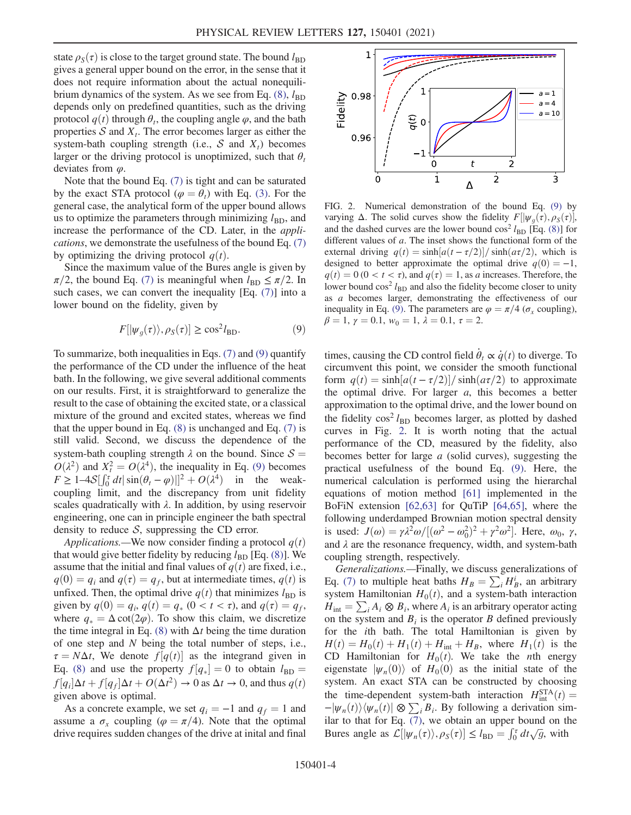state  $\rho_{\rm s}(\tau)$  is close to the target ground state. The bound  $l_{\rm BD}$ gives a general upper bound on the error, in the sense that it does not require information about the actual nonequilibrium dynamics of the system. As we see from Eq.  $(8)$ ,  $l_{BD}$ depends only on predefined quantities, such as the driving protocol  $q(t)$  through  $\theta_t$ , the coupling angle  $\varphi$ , and the bath properties  $S$  and  $X_t$ . The error becomes larger as either the system-bath coupling strength (i.e.,  $S$  and  $X_t$ ) becomes larger or the driving protocol is unoptimized, such that  $\theta_t$ deviates from  $\varphi$ .

Note that the bound Eq. [\(7\)](#page-2-4) is tight and can be saturated by the exact STA protocol ( $\varphi = \theta_t$ ) with Eq. [\(3\).](#page-2-0) For the general case, the analytical form of the upper bound allows us to optimize the parameters through minimizing  $l_{BD}$ , and increase the performance of the CD. Later, in the applications, we demonstrate the usefulness of the bound Eq. [\(7\)](#page-2-4) by optimizing the driving protocol  $q(t)$ .

<span id="page-3-0"></span>Since the maximum value of the Bures angle is given by  $\pi/2$ , the bound Eq. [\(7\)](#page-2-4) is meaningful when  $l_{\text{BD}} \leq \pi/2$ . In such cases, we can convert the inequality [Eq. [\(7\)\]](#page-2-4) into a lower bound on the fidelity, given by

$$
F[|\psi_g(\tau)\rangle, \rho_S(\tau)] \ge \cos^2 l_{\text{BD}}.\tag{9}
$$

To summarize, both inequalities in Eqs. [\(7\)](#page-2-4) and [\(9\)](#page-3-0) quantify the performance of the CD under the influence of the heat bath. In the following, we give several additional comments on our results. First, it is straightforward to generalize the result to the case of obtaining the excited state, or a classical mixture of the ground and excited states, whereas we find that the upper bound in Eq.  $(8)$  is unchanged and Eq.  $(7)$  is still valid. Second, we discuss the dependence of the system-bath coupling strength  $\lambda$  on the bound. Since  $\mathcal{S} =$  $O(\lambda^2)$  and  $X_t^2 = O(\lambda^4)$ , the inequality in Eq. [\(9\)](#page-3-0) becomes<br> $E > 1.4S[f^{\tau} dt] \sin(\theta - \omega)||^2 + O(\lambda^4)$  in the weak- $F \ge 1-4S[\int_0^r dt] \sin(\theta_t - \varphi)]^2 + O(\lambda^4)$  in the weak-<br>coupling limit and the discrepancy from unit fidelity coupling limit, and the discrepancy from unit fidelity scales quadratically with  $\lambda$ . In addition, by using reservoir engineering, one can in principle engineer the bath spectral density to reduce  $S$ , suppressing the CD error.

Applications.—We now consider finding a protocol  $q(t)$ that would give better fidelity by reducing  $l_{BD}$  [Eq. [\(8\)](#page-2-5)]. We assume that the initial and final values of  $q(t)$  are fixed, i.e.,  $q(0) = q_i$  and  $q(\tau) = q_f$ , but at intermediate times,  $q(t)$  is unfixed. Then, the optimal drive  $q(t)$  that minimizes  $l_{BD}$  is given by  $q(0) = q_i$ ,  $q(t) = q_*$   $(0 < t < \tau)$ , and  $q(\tau) = q_f$ , where  $q_* = \Delta \cot(2\varphi)$ . To show this claim, we discretize the time integral in Eq. [\(8\)](#page-2-5) with  $\Delta t$  being the time duration of one step and N being the total number of steps, i.e.,  $\tau = N\Delta t$ , We denote  $f[q(t)]$  as the integrand given in<br>Eq. (8) and use the property  $f[a] = 0$  to obtain  $l_{\tau} =$ Eq. [\(8\)](#page-2-5) and use the property  $f[q_*] = 0$  to obtain  $l_{\text{BD}} =$ <br> $f[a] \Delta t + f[a] \Delta t + O(\Delta t^2) \rightarrow 0$  as  $\Delta t \rightarrow 0$  and thus  $g(t)$  $f[q_i] \Delta t + f[q_f] \Delta t + O(\Delta t^2) \rightarrow 0$  as  $\Delta t \rightarrow 0$ , and thus  $q(t)$ <br>given above is optimal given above is optimal.

As a concrete example, we set  $q_i = -1$  and  $q_f = 1$  and assume a  $\sigma_x$  coupling ( $\varphi = \pi/4$ ). Note that the optimal drive requires sudden changes of the drive at inital and final

<span id="page-3-1"></span>

FIG. 2. Numerical demonstration of the bound Eq. [\(9\)](#page-3-0) by varying  $\Delta$ . The solid curves show the fidelity  $F[|\psi_g(\tau), \rho_S(\tau)|]$ ,<br>and the dashed curves are the lower bound  $\cos^2 l = \text{[Eq. (8)]}$  for and the dashed curves are the lower bound  $\cos^2 l_{BD}$  [Eq. [\(8\)](#page-2-5)] for different values of a. The inset shows the functional form of the external driving  $q(t) = \frac{\sinh(a(t - \tau/2))}{\sinh(a\tau/2)}$ , which is designed to better approximate the optimal drive  $q(0) = -1$ designed to better approximate the optimal drive  $q(0) = -1$ ,  $q(t) = 0$  (0 < t <  $\tau$ ), and  $q(\tau) = 1$ , as a increases. Therefore, the lower bound  $\cos^2 l_{BD}$  and also the fidelity become closer to unity as a becomes larger, demonstrating the effectiveness of our inequality in Eq. [\(9\).](#page-3-0) The parameters are  $\varphi = \pi/4$  ( $\sigma_r$  coupling),  $\beta = 1, \gamma = 0.1, w_0 = 1, \lambda = 0.1, \tau = 2.$ 

times, causing the CD control field  $\dot{\theta}_t \propto \dot{q}(t)$  to diverge. To circumvent this point, we consider the smooth functional circumvent this point, we consider the smooth functional form  $q(t) = \sinh[a(t-\tau/2)]/\sinh(a\tau/2)$  to approximate<br>the optimal drive For larger *a* this becomes a better the optimal drive. For larger  $a$ , this becomes a better approximation to the optimal drive, and the lower bound on the fidelity  $\cos^2 l_{BD}$  becomes larger, as plotted by dashed curves in Fig. [2](#page-3-1). It is worth noting that the actual performance of the CD, measured by the fidelity, also becomes better for large a (solid curves), suggesting the practical usefulness of the bound Eq. [\(9\)](#page-3-0). Here, the numerical calculation is performed using the hierarchal equations of motion method [[61](#page-6-6)] implemented in the BoFiN extension [[62](#page-6-7),[63](#page-6-8)] for QuTiP [\[64,](#page-6-9)[65\]](#page-6-10), where the following underdamped Brownian motion spectral density is used:  $J(\omega) = \gamma \lambda^2 \omega / [(\omega^2 - \omega_0^2)^2 + \gamma^2 \omega^2]$ . Here,  $\omega_0$ ,  $\gamma$ , and  $\lambda$  are the resonance frequency width and system-bath and  $\lambda$  are the resonance frequency, width, and system-bath coupling strength, respectively.

<span id="page-3-2"></span>Generalizations.—Finally, we discuss generalizations of Eq. [\(7\)](#page-2-4) to multiple heat baths  $H_B = \sum_i H_B^i$ , an arbitrary<br>system Hamiltonian  $H_0(t)$  and a system-bath interaction system Hamiltonian  $H_0(t)$ , and a system-bath interaction  $H_{\text{int}} = \sum_i A_i \otimes B_i$ , where  $A_i$  is an arbitrary operator acting on the system and  $B_i$  is the operator B defined previously for the ith bath. The total Hamiltonian is given by  $H(t) = H_0(t) + H_1(t) + H_{int} + H_B$ , where  $H_1(t)$  is the CD Hamiltonian for  $H_0(t)$ . We take the *n*th energy eigenstate  $|\psi_n(0)\rangle$  of  $H_0(0)$  as the initial state of the system. An exact STA can be constructed by choosing the time-dependent system-bath interaction  $H_{\text{int}}^{\text{STA}}(t) =$ <br> $\frac{1}{W} (t) \vee w (t) \otimes \sum R$ . By following a derivation sim- $-\vert \psi_n(t) \rangle \langle \psi_n(t) \vert \otimes \sum_i B_i$ . By following a derivation similar to that for Eq. [\(7\),](#page-2-4) we obtain an upper bound on the Bures angle as  $\mathcal{L}[\psi_n(\tau) \rangle, \rho_S(\tau)] \le l_{\text{BD}} = \int_0^{\tau} dt \sqrt{g}$ , with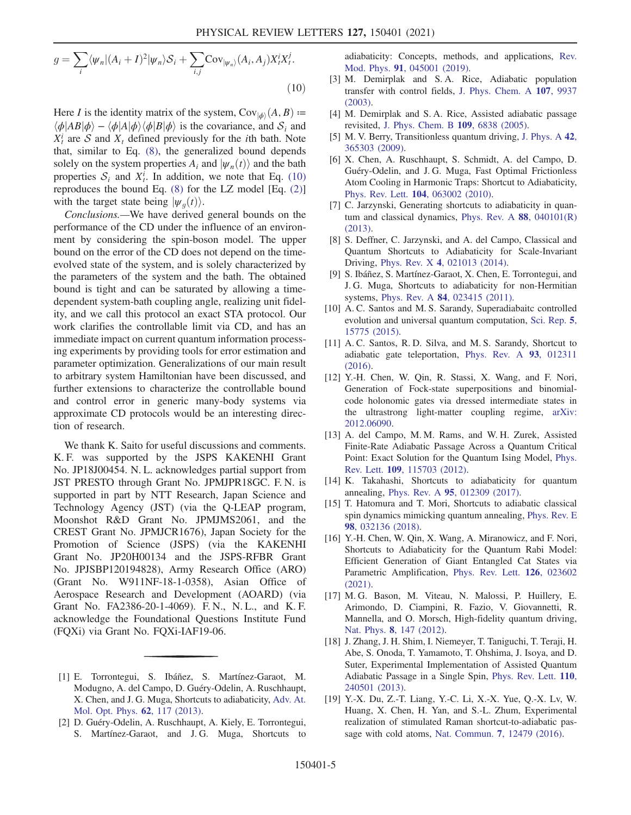$$
g = \sum_{i} \langle \psi_n | (A_i + I)^2 | \psi_n \rangle \mathcal{S}_i + \sum_{i,j} \text{Cov}_{|\psi_n\rangle} (A_i, A_j) X_i^i X_i^j.
$$
\n(10)

Here I is the identity matrix of the system,  $Cov_{\vert \phi \rangle}(A, B) :=$  $\langle \phi | AB | \phi \rangle - \langle \phi | A | \phi \rangle \langle \phi | B | \phi \rangle$  is the covariance, and  $S_i$  and  $X_t^i$  are S and  $X_t$  defined previously for the *i*th bath. Note that, similar to Eq. [\(8\)](#page-2-5), the generalized bound depends solely on the system properties  $A_i$  and  $|\psi_n(t)\rangle$  and the bath properties  $S_i$  and  $X_t^i$ . In addition, we note that Eq. [\(10\)](#page-3-2) reproduces the bound Eq.  $(8)$  for the LZ model [Eq.  $(2)$ ] with the target state being  $|\psi_a(t)\rangle$ .

Conclusions.—We have derived general bounds on the performance of the CD under the influence of an environment by considering the spin-boson model. The upper bound on the error of the CD does not depend on the timeevolved state of the system, and is solely characterized by the parameters of the system and the bath. The obtained bound is tight and can be saturated by allowing a timedependent system-bath coupling angle, realizing unit fidelity, and we call this protocol an exact STA protocol. Our work clarifies the controllable limit via CD, and has an immediate impact on current quantum information processing experiments by providing tools for error estimation and parameter optimization. Generalizations of our main result to arbitrary system Hamiltonian have been discussed, and further extensions to characterize the controllable bound and control error in generic many-body systems via approximate CD protocols would be an interesting direction of research.

We thank K. Saito for useful discussions and comments. K. F. was supported by the JSPS KAKENHI Grant No. JP18J00454. N. L. acknowledges partial support from JST PRESTO through Grant No. JPMJPR18GC. F. N. is supported in part by NTT Research, Japan Science and Technology Agency (JST) (via the Q-LEAP program, Moonshot R&D Grant No. JPMJMS2061, and the CREST Grant No. JPMJCR1676), Japan Society for the Promotion of Science (JSPS) (via the KAKENHI Grant No. JP20H00134 and the JSPS-RFBR Grant No. JPJSBP120194828), Army Research Office (ARO) (Grant No. W911NF-18-1-0358), Asian Office of Aerospace Research and Development (AOARD) (via Grant No. FA2386-20-1-4069). F. N., N. L., and K. F. acknowledge the Foundational Questions Institute Fund (FQXi) via Grant No. FQXi-IAF19-06.

- <span id="page-4-0"></span>[1] E. Torrontegui, S. Ibáñez, S. Martínez-Garaot, M. Modugno, A. del Campo, D. Guéry-Odelin, A. Ruschhaupt, X. Chen, and J. G. Muga, Shortcuts to adiabaticity, [Adv. At.](https://doi.org/10.1016/B978-0-12-408090-4.00002-5) [Mol. Opt. Phys.](https://doi.org/10.1016/B978-0-12-408090-4.00002-5) 62, 117 (2013).
- <span id="page-4-2"></span>[2] D. Guéry-Odelin, A. Ruschhaupt, A. Kiely, E. Torrontegui, S. Martínez-Garaot, and J. G. Muga, Shortcuts to

adiabaticity: Concepts, methods, and applications, [Rev.](https://doi.org/10.1103/RevModPhys.91.045001) Mod. Phys. 91[, 045001 \(2019\).](https://doi.org/10.1103/RevModPhys.91.045001)

- [3] M. Demirplak and S. A. Rice, Adiabatic population transfer with control fields, [J. Phys. Chem. A](https://doi.org/10.1021/jp030708a) 107, 9937 [\(2003\).](https://doi.org/10.1021/jp030708a)
- [4] M. Demirplak and S. A. Rice, Assisted adiabatic passage revisited, [J. Phys. Chem. B](https://doi.org/10.1021/jp040647w) 109, 6838 (2005).
- [5] M. V. Berry, Transitionless quantum driving, [J. Phys. A](https://doi.org/10.1088/1751-8113/42/36/365303) 42, [365303 \(2009\).](https://doi.org/10.1088/1751-8113/42/36/365303)
- [6] X. Chen, A. Ruschhaupt, S. Schmidt, A. del Campo, D. Guéry-Odelin, and J. G. Muga, Fast Optimal Frictionless Atom Cooling in Harmonic Traps: Shortcut to Adiabaticity, Phys. Rev. Lett. 104[, 063002 \(2010\).](https://doi.org/10.1103/PhysRevLett.104.063002)
- <span id="page-4-9"></span>[7] C. Jarzynski, Generating shortcuts to adiabaticity in quan-tum and classical dynamics, [Phys. Rev. A](https://doi.org/10.1103/PhysRevA.88.040101)  $88$ , 040101(R) [\(2013\).](https://doi.org/10.1103/PhysRevA.88.040101)
- [8] S. Deffner, C. Jarzynski, and A. del Campo, Classical and Quantum Shortcuts to Adiabaticity for Scale-Invariant Driving, Phys. Rev. X 4[, 021013 \(2014\).](https://doi.org/10.1103/PhysRevX.4.021013)
- <span id="page-4-1"></span>[9] S. Ibáñez, S. Martínez-Garaot, X. Chen, E. Torrontegui, and J. G. Muga, Shortcuts to adiabaticity for non-Hermitian systems, Phys. Rev. A 84[, 023415 \(2011\).](https://doi.org/10.1103/PhysRevA.84.023415)
- <span id="page-4-3"></span>[10] A. C. Santos and M. S. Sarandy, Superadiabaitc controlled evolution and universal quantum computation, [Sci. Rep.](https://doi.org/10.1038/srep15775) 5, [15775 \(2015\).](https://doi.org/10.1038/srep15775)
- [11] A. C. Santos, R. D. Silva, and M. S. Sarandy, Shortcut to adiabatic gate teleportation, [Phys. Rev. A](https://doi.org/10.1103/PhysRevA.93.012311) 93, 012311 [\(2016\).](https://doi.org/10.1103/PhysRevA.93.012311)
- <span id="page-4-4"></span>[12] Y.-H. Chen, W. Qin, R. Stassi, X. Wang, and F. Nori, Generation of Fock-state superpositions and binomialcode holonomic gates via dressed intermediate states in the ultrastrong light-matter coupling regime, [arXiv:](https://arXiv.org/abs/2012.06090) [2012.06090.](https://arXiv.org/abs/2012.06090)
- <span id="page-4-5"></span>[13] A. del Campo, M. M. Rams, and W. H. Zurek, Assisted Finite-Rate Adiabatic Passage Across a Quantum Critical Point: Exact Solution for the Quantum Ising Model, [Phys.](https://doi.org/10.1103/PhysRevLett.109.115703) Rev. Lett. 109[, 115703 \(2012\).](https://doi.org/10.1103/PhysRevLett.109.115703)
- [14] K. Takahashi, Shortcuts to adiabaticity for quantum annealing, Phys. Rev. A 95[, 012309 \(2017\).](https://doi.org/10.1103/PhysRevA.95.012309)
- <span id="page-4-6"></span>[15] T. Hatomura and T. Mori, Shortcuts to adiabatic classical spin dynamics mimicking quantum annealing, [Phys. Rev. E](https://doi.org/10.1103/PhysRevE.98.032136) 98[, 032136 \(2018\).](https://doi.org/10.1103/PhysRevE.98.032136)
- <span id="page-4-7"></span>[16] Y.-H. Chen, W. Qin, X. Wang, A. Miranowicz, and F. Nori, Shortcuts to Adiabaticity for the Quantum Rabi Model: Efficient Generation of Giant Entangled Cat States via Parametric Amplification, [Phys. Rev. Lett.](https://doi.org/10.1103/PhysRevLett.126.023602) 126, 023602 [\(2021\).](https://doi.org/10.1103/PhysRevLett.126.023602)
- <span id="page-4-8"></span>[17] M. G. Bason, M. Viteau, N. Malossi, P. Huillery, E. Arimondo, D. Ciampini, R. Fazio, V. Giovannetti, R. Mannella, and O. Morsch, High-fidelity quantum driving, Nat. Phys. 8[, 147 \(2012\)](https://doi.org/10.1038/nphys2170).
- [18] J. Zhang, J. H. Shim, I. Niemeyer, T. Taniguchi, T. Teraji, H. Abe, S. Onoda, T. Yamamoto, T. Ohshima, J. Isoya, and D. Suter, Experimental Implementation of Assisted Quantum Adiabatic Passage in a Single Spin, [Phys. Rev. Lett.](https://doi.org/10.1103/PhysRevLett.110.240501) 110, [240501 \(2013\).](https://doi.org/10.1103/PhysRevLett.110.240501)
- [19] Y.-X. Du, Z.-T. Liang, Y.-C. Li, X.-X. Yue, Q.-X. Lv, W. Huang, X. Chen, H. Yan, and S.-L. Zhum, Experimental realization of stimulated Raman shortcut-to-adiabatic passage with cold atoms, Nat. Commun. 7[, 12479 \(2016\)](https://doi.org/10.1038/ncomms12479).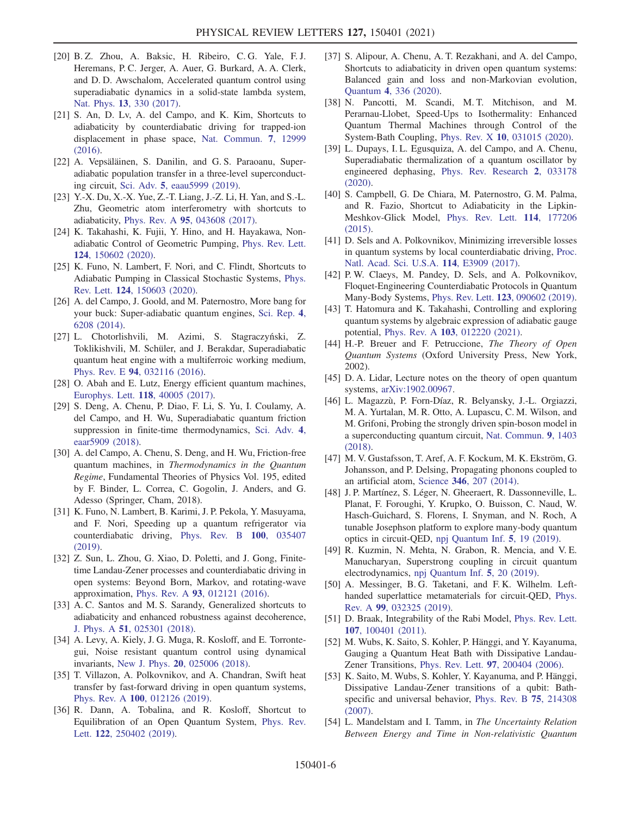- <span id="page-5-0"></span>[20] B. Z. Zhou, A. Baksic, H. Ribeiro, C. G. Yale, F. J. Heremans, P. C. Jerger, A. Auer, G. Burkard, A. A. Clerk, and D. D. Awschalom, Accelerated quantum control using superadiabatic dynamics in a solid-state lambda system, Nat. Phys. 13[, 330 \(2017\)](https://doi.org/10.1038/nphys3967).
- <span id="page-5-1"></span>[21] S. An, D. Lv, A. del Campo, and K. Kim, Shortcuts to adiabaticity by counterdiabatic driving for trapped-ion displacement in phase space, [Nat. Commun.](https://doi.org/10.1038/ncomms12999) 7, 12999 [\(2016\).](https://doi.org/10.1038/ncomms12999)
- <span id="page-5-2"></span>[22] A. Vepsäläinen, S. Danilin, and G. S. Paraoanu, Superadiabatic population transfer in a three-level superconducting circuit, Sci. Adv. 5[, eaau5999 \(2019\)](https://doi.org/10.1126/sciadv.aau5999).
- <span id="page-5-3"></span>[23] Y.-X. Du, X.-X. Yue, Z.-T. Liang, J.-Z. Li, H. Yan, and S.-L. Zhu, Geometric atom interferometry with shortcuts to adiabaticity, Phys. Rev. A 95[, 043608 \(2017\)](https://doi.org/10.1103/PhysRevA.95.043608).
- <span id="page-5-4"></span>[24] K. Takahashi, K. Fujii, Y. Hino, and H. Hayakawa, Nonadiabatic Control of Geometric Pumping, [Phys. Rev. Lett.](https://doi.org/10.1103/PhysRevLett.124.150602) 124[, 150602 \(2020\).](https://doi.org/10.1103/PhysRevLett.124.150602)
- <span id="page-5-5"></span>[25] K. Funo, N. Lambert, F. Nori, and C. Flindt, Shortcuts to Adiabatic Pumping in Classical Stochastic Systems, [Phys.](https://doi.org/10.1103/PhysRevLett.124.150603) Rev. Lett. 124[, 150603 \(2020\).](https://doi.org/10.1103/PhysRevLett.124.150603)
- <span id="page-5-6"></span>[26] A. del Campo, J. Goold, and M. Paternostro, More bang for your buck: Super-adiabatic quantum engines, [Sci. Rep.](https://doi.org/10.1038/srep06208) 4, [6208 \(2014\)](https://doi.org/10.1038/srep06208).
- [27] L. Chotorlishvili, M. Azimi, S. Stagraczyński, Z. Toklikishvili, M. Schüler, and J. Berakdar, Superadiabatic quantum heat engine with a multiferroic working medium, Phys. Rev. E 94[, 032116 \(2016\)](https://doi.org/10.1103/PhysRevE.94.032116).
- [28] O. Abah and E. Lutz, Energy efficient quantum machines, [Europhys. Lett.](https://doi.org/10.1209/0295-5075/118/40005) 118, 40005 (2017).
- [29] S. Deng, A. Chenu, P. Diao, F. Li, S. Yu, I. Coulamy, A. del Campo, and H. Wu, Superadiabatic quantum friction suppression in finite-time thermodynamics, [Sci. Adv.](https://doi.org/10.1126/sciadv.aar5909) 4, [eaar5909 \(2018\).](https://doi.org/10.1126/sciadv.aar5909)
- [30] A. del Campo, A. Chenu, S. Deng, and H. Wu, Friction-free quantum machines, in Thermodynamics in the Quantum Regime, Fundamental Theories of Physics Vol. 195, edited by F. Binder, L. Correa, C. Gogolin, J. Anders, and G. Adesso (Springer, Cham, 2018).
- <span id="page-5-7"></span>[31] K. Funo, N. Lambert, B. Karimi, J. P. Pekola, Y. Masuyama, and F. Nori, Speeding up a quantum refrigerator via counterdiabatic driving, [Phys. Rev. B](https://doi.org/10.1103/PhysRevB.100.035407) 100, 035407 [\(2019\).](https://doi.org/10.1103/PhysRevB.100.035407)
- <span id="page-5-8"></span>[32] Z. Sun, L. Zhou, G. Xiao, D. Poletti, and J. Gong, Finitetime Landau-Zener processes and counterdiabatic driving in open systems: Beyond Born, Markov, and rotating-wave approximation, Phys. Rev. A 93[, 012121 \(2016\)](https://doi.org/10.1103/PhysRevA.93.012121).
- <span id="page-5-9"></span>[33] A. C. Santos and M. S. Sarandy, Generalized shortcuts to adiabaticity and enhanced robustness against decoherence, J. Phys. A 51[, 025301 \(2018\).](https://doi.org/10.1088/1751-8121/aa96f1)
- <span id="page-5-10"></span>[34] A. Levy, A. Kiely, J. G. Muga, R. Kosloff, and E. Torrontegui, Noise resistant quantum control using dynamical invariants, New J. Phys. 20[, 025006 \(2018\).](https://doi.org/10.1088/1367-2630/aaa9e5)
- [35] T. Villazon, A. Polkovnikov, and A. Chandran, Swift heat transfer by fast-forward driving in open quantum systems, Phys. Rev. A 100[, 012126 \(2019\)](https://doi.org/10.1103/PhysRevA.100.012126).
- [36] R. Dann, A. Tobalina, and R. Kosloff, Shortcut to Equilibration of an Open Quantum System, [Phys. Rev.](https://doi.org/10.1103/PhysRevLett.122.250402) Lett. 122[, 250402 \(2019\)](https://doi.org/10.1103/PhysRevLett.122.250402).
- [37] S. Alipour, A. Chenu, A. T. Rezakhani, and A. del Campo, Shortcuts to adiabaticity in driven open quantum systems: Balanced gain and loss and non-Markovian evolution, Quantum 4[, 336 \(2020\)](https://doi.org/10.22331/q-2020-09-28-336).
- [38] N. Pancotti, M. Scandi, M. T. Mitchison, and M. Perarnau-Llobet, Speed-Ups to Isothermality: Enhanced Quantum Thermal Machines through Control of the System-Bath Coupling, Phys. Rev. X 10[, 031015 \(2020\)](https://doi.org/10.1103/PhysRevX.10.031015).
- <span id="page-5-11"></span>[39] L. Dupays, I. L. Egusquiza, A. del Campo, and A. Chenu, Superadiabatic thermalization of a quantum oscillator by engineered dephasing, [Phys. Rev. Research](https://doi.org/10.1103/PhysRevResearch.2.033178) 2, 033178 [\(2020\).](https://doi.org/10.1103/PhysRevResearch.2.033178)
- <span id="page-5-12"></span>[40] S. Campbell, G. De Chiara, M. Paternostro, G. M. Palma, and R. Fazio, Shortcut to Adiabaticity in the Lipkin-Meshkov-Glick Model, [Phys. Rev. Lett.](https://doi.org/10.1103/PhysRevLett.114.177206) 114, 177206 [\(2015\).](https://doi.org/10.1103/PhysRevLett.114.177206)
- [41] D. Sels and A. Polkovnikov, Minimizing irreversible losses in quantum systems by local counterdiabatic driving, [Proc.](https://doi.org/10.1073/pnas.1619826114) [Natl. Acad. Sci. U.S.A.](https://doi.org/10.1073/pnas.1619826114) 114, E3909 (2017).
- [42] P. W. Claeys, M. Pandey, D. Sels, and A. Polkovnikov, Floquet-Engineering Counterdiabatic Protocols in Quantum Many-Body Systems, Phys. Rev. Lett. 123[, 090602 \(2019\).](https://doi.org/10.1103/PhysRevLett.123.090602)
- <span id="page-5-13"></span>[43] T. Hatomura and K. Takahashi, Controlling and exploring quantum systems by algebraic expression of adiabatic gauge potential, Phys. Rev. A 103[, 012220 \(2021\).](https://doi.org/10.1103/PhysRevA.103.012220)
- <span id="page-5-14"></span>[44] H.-P. Breuer and F. Petruccione, The Theory of Open Quantum Systems (Oxford University Press, New York, 2002).
- <span id="page-5-15"></span>[45] D. A. Lidar, Lecture notes on the theory of open quantum systems, [arXiv:1902.00967](https://arXiv.org/abs/1902.00967).
- <span id="page-5-16"></span>[46] L. Magazzù, P. Forn-Díaz, R. Belyansky, J.-L. Orgiazzi, M. A. Yurtalan, M. R. Otto, A. Lupascu, C. M. Wilson, and M. Grifoni, Probing the strongly driven spin-boson model in a superconducting quantum circuit, [Nat. Commun.](https://doi.org/10.1038/s41467-018-03626-w) 9, 1403 [\(2018\).](https://doi.org/10.1038/s41467-018-03626-w)
- [47] M. V. Gustafsson, T. Aref, A. F. Kockum, M. K. Ekström, G. Johansson, and P. Delsing, Propagating phonons coupled to an artificial atom, Science 346[, 207 \(2014\).](https://doi.org/10.1126/science.1257219)
- [48] J. P. Martínez, S. Léger, N. Gheeraert, R. Dassonneville, L. Planat, F. Foroughi, Y. Krupko, O. Buisson, C. Naud, W. Hasch-Guichard, S. Florens, I. Snyman, and N. Roch, A tunable Josephson platform to explore many-body quantum optics in circuit-QED, [npj Quantum Inf.](https://doi.org/10.1038/s41534-018-0104-0) 5, 19 (2019).
- [49] R. Kuzmin, N. Mehta, N. Grabon, R. Mencia, and V. E. Manucharyan, Superstrong coupling in circuit quantum electrodynamics, [npj Quantum Inf.](https://doi.org/10.1038/s41534-019-0134-2) 5, 20 (2019).
- <span id="page-5-17"></span>[50] A. Messinger, B. G. Taketani, and F. K. Wilhelm. Lefthanded superlattice metamaterials for circuit-QED, [Phys.](https://doi.org/10.1103/PhysRevA.99.032325) Rev. A 99[, 032325 \(2019\)](https://doi.org/10.1103/PhysRevA.99.032325).
- <span id="page-5-19"></span><span id="page-5-18"></span>[51] D. Braak, Integrability of the Rabi Model, [Phys. Rev. Lett.](https://doi.org/10.1103/PhysRevLett.107.100401) 107[, 100401 \(2011\).](https://doi.org/10.1103/PhysRevLett.107.100401)
- [52] M. Wubs, K. Saito, S. Kohler, P. Hänggi, and Y. Kayanuma, Gauging a Quantum Heat Bath with Dissipative Landau-Zener Transitions, Phys. Rev. Lett. 97[, 200404 \(2006\).](https://doi.org/10.1103/PhysRevLett.97.200404)
- <span id="page-5-20"></span>[53] K. Saito, M. Wubs, S. Kohler, Y. Kayanuma, and P. Hänggi, Dissipative Landau-Zener transitions of a qubit: Bathspecific and universal behavior, [Phys. Rev. B](https://doi.org/10.1103/PhysRevB.75.214308) 75, 214308 [\(2007\).](https://doi.org/10.1103/PhysRevB.75.214308)
- <span id="page-5-21"></span>[54] L. Mandelstam and I. Tamm, in The Uncertainty Relation Between Energy and Time in Non-relativistic Quantum